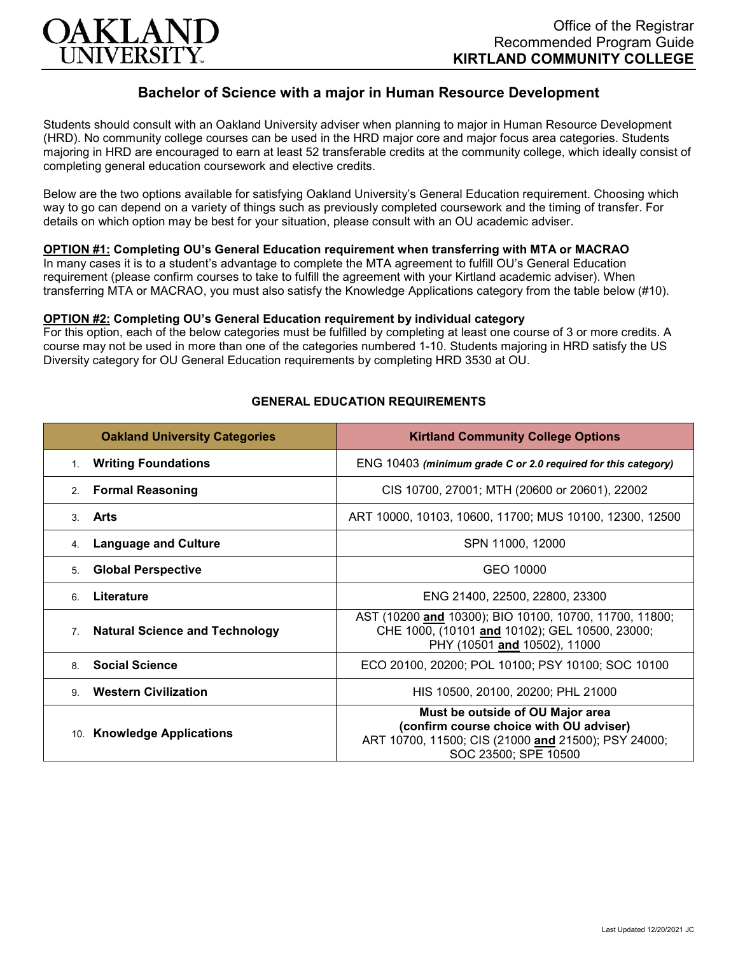

# **Bachelor of Science with a major in Human Resource Development**

Students should consult with an Oakland University adviser when planning to major in Human Resource Development (HRD). No community college courses can be used in the HRD major core and major focus area categories. Students majoring in HRD are encouraged to earn at least 52 transferable credits at the community college, which ideally consist of completing general education coursework and elective credits.

Below are the two options available for satisfying Oakland University's General Education requirement. Choosing which way to go can depend on a variety of things such as previously completed coursework and the timing of transfer. For details on which option may be best for your situation, please consult with an OU academic adviser.

## **OPTION #1: Completing OU's General Education requirement when transferring with MTA or MACRAO**

In many cases it is to a student's advantage to complete the MTA agreement to fulfill OU's General Education requirement (please confirm courses to take to fulfill the agreement with your Kirtland academic adviser). When transferring MTA or MACRAO, you must also satisfy the Knowledge Applications category from the table below (#10).

#### **OPTION #2: Completing OU's General Education requirement by individual category**

For this option, each of the below categories must be fulfilled by completing at least one course of 3 or more credits. A course may not be used in more than one of the categories numbered 1-10. Students majoring in HRD satisfy the US Diversity category for OU General Education requirements by completing HRD 3530 at OU.

| <b>Oakland University Categories</b>                    | <b>Kirtland Community College Options</b>                                                                                                                  |
|---------------------------------------------------------|------------------------------------------------------------------------------------------------------------------------------------------------------------|
| <b>Writing Foundations</b><br>1.                        | ENG 10403 (minimum grade C or 2.0 required for this category)                                                                                              |
| <b>Formal Reasoning</b><br>2.                           | CIS 10700, 27001; MTH (20600 or 20601), 22002                                                                                                              |
| Arts<br>$\mathcal{S}$                                   | ART 10000, 10103, 10600, 11700; MUS 10100, 12300, 12500                                                                                                    |
| <b>Language and Culture</b><br>4.                       | SPN 11000, 12000                                                                                                                                           |
| <b>Global Perspective</b><br>5.                         | GEO 10000                                                                                                                                                  |
| Literature<br>6                                         | ENG 21400, 22500, 22800, 23300                                                                                                                             |
| <b>Natural Science and Technology</b><br>7 <sub>1</sub> | AST (10200 and 10300); BIO 10100, 10700, 11700, 11800;<br>CHE 1000, (10101 and 10102); GEL 10500, 23000;<br>PHY (10501 and 10502), 11000                   |
| <b>Social Science</b><br>8                              | ECO 20100, 20200; POL 10100; PSY 10100; SOC 10100                                                                                                          |
| <b>Western Civilization</b><br>9                        | HIS 10500, 20100, 20200; PHL 21000                                                                                                                         |
| 10. Knowledge Applications                              | Must be outside of OU Major area<br>(confirm course choice with OU adviser)<br>ART 10700, 11500; CIS (21000 and 21500); PSY 24000;<br>SOC 23500; SPE 10500 |

## **GENERAL EDUCATION REQUIREMENTS**